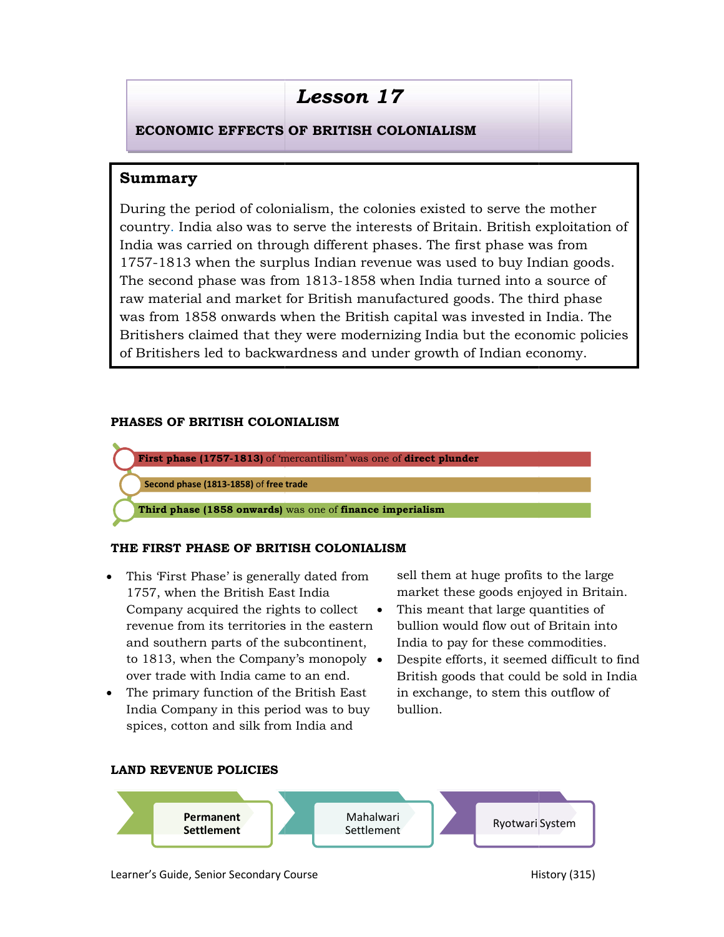# Lesson 17

# ECONOMIC EFFECTS OF BRITISH COLONIALISM ECONOMIC

# Summary

**INCTATE ATTER INTERT COLONIALLY STATE ATTAT (SECUTE THEORY OF STATE THASE (1877-1813)** of mercantilism, was one of the surplus India was carried on through different phases. The first phase was from  $\approx$  second phase was During the period of colonialism, the colonies existed to serve the mother  $\qquad \qquad \mid$ country. India also was to serve the interests of Britain. British exploitation of India was carried on through different phases. The first phase was from 1757-1813 when the surplus Indian revenue was used to buy Indian goods. 1813 was from 1813-1858 when India turned into a source of The second phase was from 1813-1858 when India turned into a source of raw material and market for British manufactured goods. The third phase was from 1858 onwards when the British capital was invested in India. The Britishers claimed that they were modernizing India but the economic policies of Britishers led to backwardness and under growth of Indian economy. material and market for British manufactured goods. The third phase<br>from 1858 onwards when the British capital was invested in India. The<br>shers claimed that they were modernizing India but the economic policies<br>ritishers l dia also was to serve the interests of<br>arried on through different phases. T<br>when the surplus Indian revenue wa<br>phase was from 1813-1858 when In<br>al and market for British manufactur<br>358 onwards when the British capita

### PHASES OF BRITISH COLONIALISM



## THE FIRST PHASE OF BRITISH COLONIALISM THE OF BRITISH COLONIALISM

- This 'First Phase' is generally dated from 1757, when the British East India Company acquired the rights to collect revenue from its territories in the eastern bullion would flo and southern parts of the subcontinent, to 1813, when the Company's monopoly over trade with India came to an end.
- The primary function of the British East India Company in this period was to buy spices, cotton and silk from India and

market these goods enjoyed in Britain. sell them at huge profits to the large

- This meant that large quantities of bullion would flow out of Britain into India to pay for these commodities.
- British goods that could be sold in India s generally dated from sell them at huge profits to the large<br>
itish East India market these goods enjoyed in Britain.<br>
the rights to collect • This meant that large quantities of<br>
rritories in the eastern bullion would fl • Despite efforts, it seemed difficult to find in exchange, to stem this outflow of bullion.





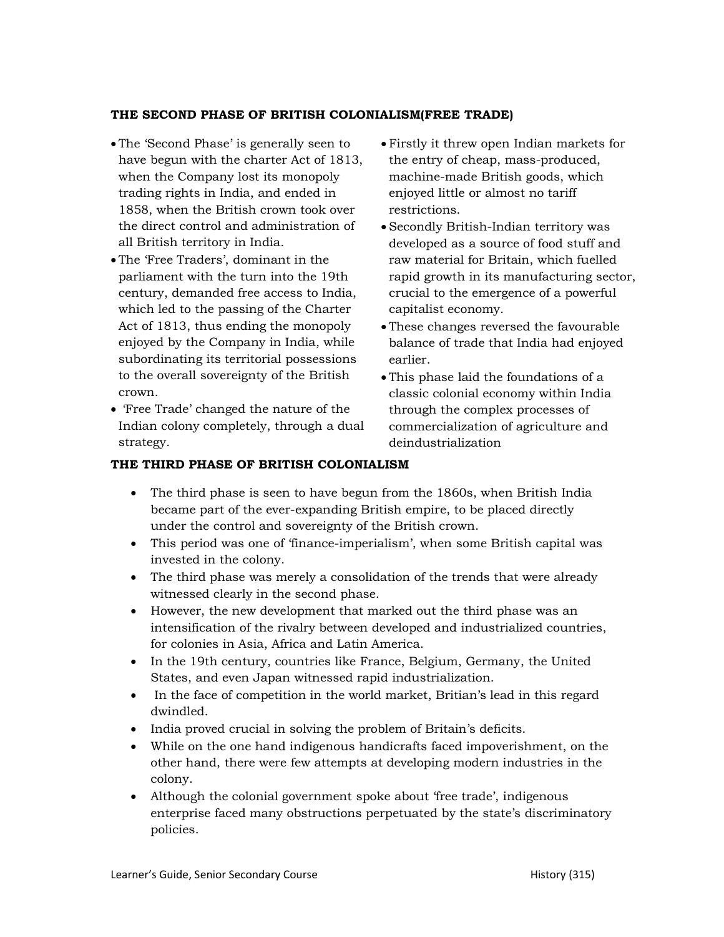#### THE SECOND PHASE OF BRITISH COLONIALISM(FREE TRADE)

- The 'Second Phase' is generally seen to have begun with the charter Act of 1813, when the Company lost its monopoly trading rights in India, and ended in 1858, when the British crown took over the direct control and administration of all British territory in India.
- The 'Free Traders', dominant in the parliament with the turn into the 19th century, demanded free access to India, which led to the passing of the Charter Act of 1813, thus ending the monopoly enjoyed by the Company in India, while subordinating its territorial possessions to the overall sovereignty of the British crown.
- 'Free Trade' changed the nature of the Indian colony completely, through a dual strategy.
- Firstly it threw open Indian markets for the entry of cheap, mass-produced, machine-made British goods, which enjoyed little or almost no tariff restrictions.
- Secondly British-Indian territory was developed as a source of food stuff and raw material for Britain, which fuelled rapid growth in its manufacturing sector, crucial to the emergence of a powerful capitalist economy.
- These changes reversed the favourable balance of trade that India had enjoyed earlier.
- This phase laid the foundations of a classic colonial economy within India through the complex processes of commercialization of agriculture and deindustrialization

#### THE THIRD PHASE OF BRITISH COLONIALISM

- The third phase is seen to have begun from the 1860s, when British India became part of the ever-expanding British empire, to be placed directly under the control and sovereignty of the British crown.
- This period was one of 'finance-imperialism', when some British capital was invested in the colony.
- The third phase was merely a consolidation of the trends that were already witnessed clearly in the second phase.
- However, the new development that marked out the third phase was an intensification of the rivalry between developed and industrialized countries, for colonies in Asia, Africa and Latin America.
- In the 19th century, countries like France, Belgium, Germany, the United States, and even Japan witnessed rapid industrialization.
- In the face of competition in the world market, Britian's lead in this regard dwindled.
- India proved crucial in solving the problem of Britain's deficits.
- While on the one hand indigenous handicrafts faced impoverishment, on the other hand, there were few attempts at developing modern industries in the colony.
- Although the colonial government spoke about 'free trade', indigenous enterprise faced many obstructions perpetuated by the state's discriminatory policies.